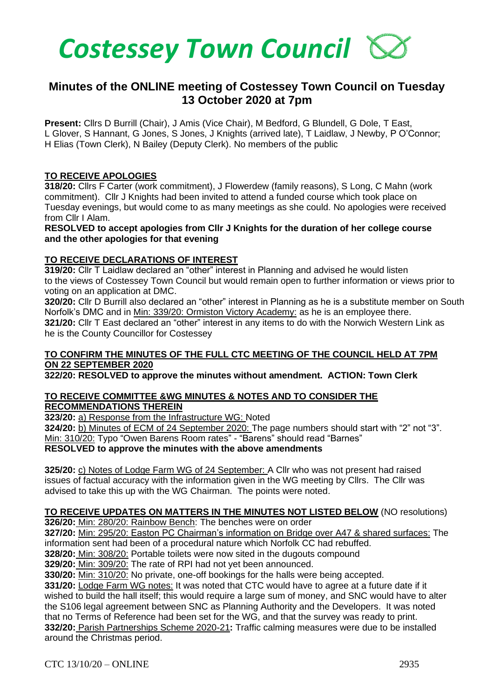

# **Minutes of the ONLINE meeting of Costessey Town Council on Tuesday 13 October 2020 at 7pm**

**Present:** Cllrs D Burrill (Chair), J Amis (Vice Chair), M Bedford, G Blundell, G Dole, T East, L Glover, S Hannant, G Jones, S Jones, J Knights (arrived late), T Laidlaw, J Newby, P O'Connor; H Elias (Town Clerk), N Bailey (Deputy Clerk). No members of the public

## **TO RECEIVE APOLOGIES**

**318/20:** Cllrs F Carter (work commitment), J Flowerdew (family reasons), S Long, C Mahn (work commitment). Cllr J Knights had been invited to attend a funded course which took place on Tuesday evenings, but would come to as many meetings as she could. No apologies were received from Cllr I Alam.

**RESOLVED to accept apologies from Cllr J Knights for the duration of her college course and the other apologies for that evening**

## **TO RECEIVE DECLARATIONS OF INTEREST**

**319/20:** Cllr T Laidlaw declared an "other" interest in Planning and advised he would listen to the views of Costessey Town Council but would remain open to further information or views prior to voting on an application at DMC.

**320/20:** Cllr D Burrill also declared an "other" interest in Planning as he is a substitute member on South Norfolk's DMC and in Min: 339/20: Ormiston Victory Academy: as he is an employee there. **321/20:** Cllr T East declared an "other" interest in any items to do with the Norwich Western Link as he is the County Councillor for Costessey

# **TO CONFIRM THE MINUTES OF THE FULL CTC MEETING OF THE COUNCIL HELD AT 7PM ON 22 SEPTEMBER 2020**

**322/20: RESOLVED to approve the minutes without amendment. ACTION: Town Clerk**

## **TO RECEIVE COMMITTEE &WG MINUTES & NOTES AND TO CONSIDER THE RECOMMENDATIONS THEREIN**

**323/20:** a) Response from the Infrastructure WG: Noted

**324/20:** b) Minutes of ECM of 24 September 2020: The page numbers should start with "2" not "3". Min: 310/20: Typo "Owen Barens Room rates" - "Barens" should read "Barnes"

**RESOLVED to approve the minutes with the above amendments** 

**325/20:** c) Notes of Lodge Farm WG of 24 September: A Cllr who was not present had raised issues of factual accuracy with the information given in the WG meeting by Cllrs. The Cllr was advised to take this up with the WG Chairman. The points were noted.

# **TO RECEIVE UPDATES ON MATTERS IN THE MINUTES NOT LISTED BELOW** (NO resolutions)

**326/20:** Min: 280/20: Rainbow Bench: The benches were on order

**327/20:** Min: 295/20: Easton PC Chairman's information on Bridge over A47 & shared surfaces: The information sent had been of a procedural nature which Norfolk CC had rebuffed.

**328/20:** Min: 308/20: Portable toilets were now sited in the dugouts compound

**329/20:** Min: 309/20: The rate of RPI had not yet been announced.

**330/20:** Min: 310/20: No private, one-off bookings for the halls were being accepted.

**331/20:** Lodge Farm WG notes: It was noted that CTC would have to agree at a future date if it wished to build the hall itself; this would require a large sum of money, and SNC would have to alter the S106 legal agreement between SNC as Planning Authority and the Developers. It was noted that no Terms of Reference had been set for the WG, and that the survey was ready to print. **332/20:** Parish Partnerships Scheme 2020-21**:** Traffic calming measures were due to be installed around the Christmas period.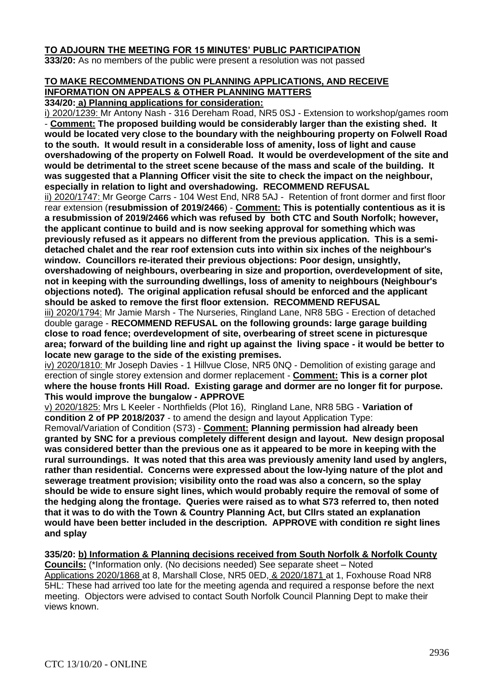# **TO ADJOURN THE MEETING FOR 15 MINUTES' PUBLIC PARTICIPATION**

**333/20:** As no members of the public were present a resolution was not passed

# **TO MAKE RECOMMENDATIONS ON PLANNING APPLICATIONS, AND RECEIVE INFORMATION ON APPEALS & OTHER PLANNING MATTERS**

**334/20: a) Planning applications for consideration:**

i) 2020/1239: Mr Antony Nash - 316 Dereham Road, NR5 0SJ - Extension to workshop/games room - **Comment: The proposed building would be considerably larger than the existing shed. It would be located very close to the boundary with the neighbouring property on Folwell Road to the south. It would result in a considerable loss of amenity, loss of light and cause overshadowing of the property on Folwell Road. It would be overdevelopment of the site and would be detrimental to the street scene because of the mass and scale of the building. It was suggested that a Planning Officer visit the site to check the impact on the neighbour, especially in relation to light and overshadowing. RECOMMEND REFUSAL**

ii) 2020/1747: Mr George Carrs - 104 West End, NR8 5AJ - Retention of front dormer and first floor rear extension (**resubmission of 2019/2466**) - **Comment: This is potentially contentious as it is a resubmission of 2019/2466 which was refused by both CTC and South Norfolk; however, the applicant continue to build and is now seeking approval for something which was previously refused as it appears no different from the previous application. This is a semidetached chalet and the rear roof extension cuts into within six inches of the neighbour's window. Councillors re-iterated their previous objections: Poor design, unsightly, overshadowing of neighbours, overbearing in size and proportion, overdevelopment of site, not in keeping with the surrounding dwellings, loss of amenity to neighbours (Neighbour's objections noted). The original application refusal should be enforced and the applicant should be asked to remove the first floor extension. RECOMMEND REFUSAL**

iii) 2020/1794: Mr Jamie Marsh - The Nurseries, Ringland Lane, NR8 5BG - Erection of detached double garage - **RECOMMEND REFUSAL on the following grounds: large garage building close to road fence; overdevelopment of site, overbearing of street scene in picturesque area; forward of the building line and right up against the living space - it would be better to locate new garage to the side of the existing premises.**

iv) 2020/1810: Mr Joseph Davies - 1 Hillvue Close, NR5 0NQ - Demolition of existing garage and erection of single storey extension and dormer replacement - **Comment: This is a corner plot where the house fronts Hill Road. Existing garage and dormer are no longer fit for purpose. This would improve the bungalow - APPROVE**

v) 2020/1825: Mrs L Keeler - Northfields (Plot 16), Ringland Lane, NR8 5BG - **Variation of condition 2 of PP 2018/2037** - to amend the design and layout Application Type:

Removal/Variation of Condition (S73) - **Comment: Planning permission had already been granted by SNC for a previous completely different design and layout. New design proposal was considered better than the previous one as it appeared to be more in keeping with the rural surroundings. It was noted that this area was previously amenity land used by anglers, rather than residential. Concerns were expressed about the low-lying nature of the plot and sewerage treatment provision; visibility onto the road was also a concern, so the splay should be wide to ensure sight lines, which would probably require the removal of some of the hedging along the frontage. Queries were raised as to what S73 referred to, then noted that it was to do with the Town & Country Planning Act, but Cllrs stated an explanation would have been better included in the description. APPROVE with condition re sight lines and splay**

**335/20: b) Information & Planning decisions received from South Norfolk & Norfolk County Councils:** (\*Information only. (No decisions needed) See separate sheet – Noted Applications 2020/1868 at 8, Marshall Close, NR5 0ED, & 2020/1871 at 1, Foxhouse Road NR8 5HL: These had arrived too late for the meeting agenda and required a response before the next meeting. Objectors were advised to contact South Norfolk Council Planning Dept to make their views known.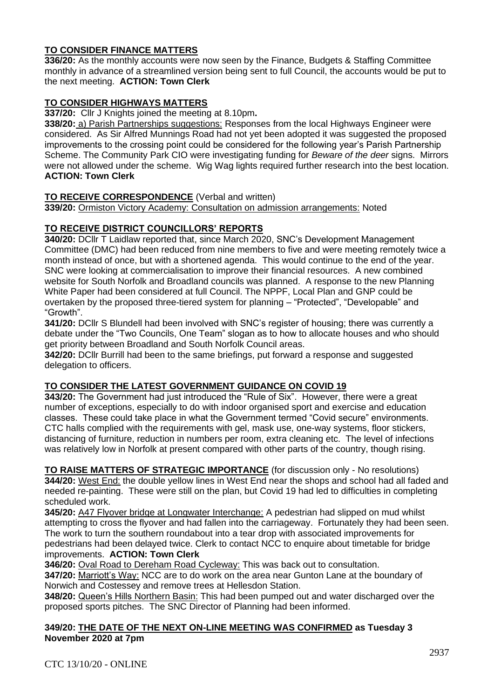# **TO CONSIDER FINANCE MATTERS**

**336/20:** As the monthly accounts were now seen by the Finance, Budgets & Staffing Committee monthly in advance of a streamlined version being sent to full Council, the accounts would be put to the next meeting. **ACTION: Town Clerk**

# **TO CONSIDER HIGHWAYS MATTERS**

**337/20:** Cllr J Knights joined the meeting at 8.10pm**.** 

**338/20:** a) Parish Partnerships suggestions: Responses from the local Highways Engineer were considered. As Sir Alfred Munnings Road had not yet been adopted it was suggested the proposed improvements to the crossing point could be considered for the following year's Parish Partnership Scheme. The Community Park CIO were investigating funding for *Beware of the deer* signs. Mirrors were not allowed under the scheme. Wig Wag lights required further research into the best location. **ACTION: Town Clerk**

## **TO RECEIVE CORRESPONDENCE** (Verbal and written)

**339/20:** Ormiston Victory Academy: Consultation on admission arrangements: Noted

# **TO RECEIVE DISTRICT COUNCILLORS' REPORTS**

**340/20:** DCllr T Laidlaw reported that, since March 2020, SNC's Development Management Committee (DMC) had been reduced from nine members to five and were meeting remotely twice a month instead of once, but with a shortened agenda. This would continue to the end of the year. SNC were looking at commercialisation to improve their financial resources. A new combined website for South Norfolk and Broadland councils was planned. A response to the new Planning White Paper had been considered at full Council. The NPPF, Local Plan and GNP could be overtaken by the proposed three-tiered system for planning – "Protected", "Developable" and "Growth".

**341/20:** DCllr S Blundell had been involved with SNC's register of housing; there was currently a debate under the "Two Councils, One Team" slogan as to how to allocate houses and who should get priority between Broadland and South Norfolk Council areas.

**342/20:** DCllr Burrill had been to the same briefings, put forward a response and suggested delegation to officers.

## **TO CONSIDER THE LATEST GOVERNMENT GUIDANCE ON COVID 19**

**343/20:** The Government had just introduced the "Rule of Six". However, there were a great number of exceptions, especially to do with indoor organised sport and exercise and education classes. These could take place in what the Government termed "Covid secure" environments. CTC halls complied with the requirements with gel, mask use, one-way systems, floor stickers, distancing of furniture, reduction in numbers per room, extra cleaning etc. The level of infections was relatively low in Norfolk at present compared with other parts of the country, though rising.

**TO RAISE MATTERS OF STRATEGIC IMPORTANCE** (for discussion only - No resolutions) **344/20:** West End: the double yellow lines in West End near the shops and school had all faded and needed re-painting. These were still on the plan, but Covid 19 had led to difficulties in completing scheduled work.

**345/20:** A47 Flyover bridge at Longwater Interchange: A pedestrian had slipped on mud whilst attempting to cross the flyover and had fallen into the carriageway. Fortunately they had been seen. The work to turn the southern roundabout into a tear drop with associated improvements for pedestrians had been delayed twice. Clerk to contact NCC to enquire about timetable for bridge improvements. **ACTION: Town Clerk**

**346/20:** Oval Road to Dereham Road Cycleway: This was back out to consultation.

**347/20:** Marriott's Way: NCC are to do work on the area near Gunton Lane at the boundary of Norwich and Costessey and remove trees at Hellesdon Station.

**348/20:** Queen's Hills Northern Basin: This had been pumped out and water discharged over the proposed sports pitches. The SNC Director of Planning had been informed.

#### **349/20: THE DATE OF THE NEXT ON-LINE MEETING WAS CONFIRMED as Tuesday 3 November 2020 at 7pm**